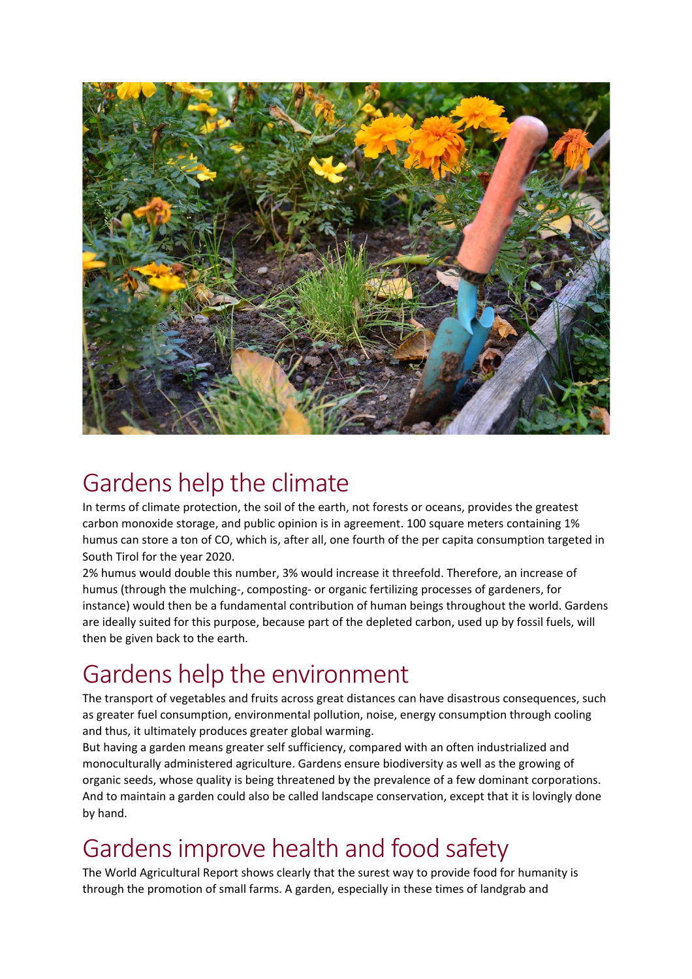

#### Gardens help the climate

In terms of climate protection, the soil of the earth, not forests or oceans, provides the greatest carbon monoxide storage, and public opinion is in agreement. 100 square meters containing 1% humus can store a ton of CO, which is, after all, one fourth of the per capita consumption targeted in South Tirol for the year 2020.

2% humus would double this number, 3% would increase it threefold. Therefore, an increase of humus (through the mulching-, composting- or organic fertilizing processes of gardeners, for instance) would then be a fundamental contribution of human beings throughout the world. Gardens are ideally suited for this purpose, because part of the depleted carbon, used up by fossil fuels, will then be given back to the earth.

# Gardens help the environment

The transport of vegetables and fruits across great distances can have disastrous consequences, such as greater fuel consumption, environmental pollution, noise, energy consumption through cooling and thus, it ultimately produces greater global warming.

But having a garden means greater self sufficiency, compared with an often industrialized and monoculturally administered agriculture. Gardens ensure biodiversity as well as the growing of organic seeds, whose quality is being threatened by the prevalence of a few dominant corporations. And to maintain a garden could also be called landscape conservation, except that it is lovingly done by hand.

# Gardens improve health and food safety

The World Agricultural Report shows clearly that the surest way to provide food for humanity is through the promotion of small farms. A garden, especially in these times of landgrab and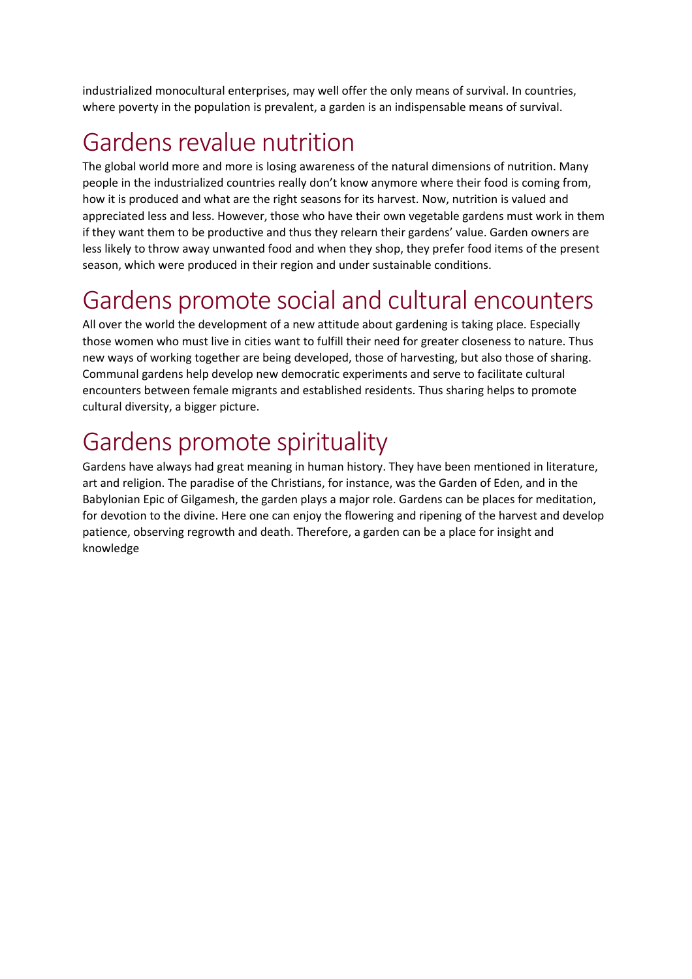industrialized monocultural enterprises, may well offer the only means of survival. In countries, where poverty in the population is prevalent, a garden is an indispensable means of survival.

#### Gardens revalue nutrition

The global world more and more is losing awareness of the natural dimensions of nutrition. Many people in the industrialized countries really don't know anymore where their food is coming from, how it is produced and what are the right seasons for its harvest. Now, nutrition is valued and appreciated less and less. However, those who have their own vegetable gardens must work in them if they want them to be productive and thus they relearn their gardens' value. Garden owners are less likely to throw away unwanted food and when they shop, they prefer food items of the present season, which were produced in their region and under sustainable conditions.

### Gardens promote social and cultural encounters

All over the world the development of a new attitude about gardening is taking place. Especially those women who must live in cities want to fulfill their need for greater closeness to nature. Thus new ways of working together are being developed, those of harvesting, but also those of sharing. Communal gardens help develop new democratic experiments and serve to facilitate cultural encounters between female migrants and established residents. Thus sharing helps to promote cultural diversity, a bigger picture.

### Gardens promote spirituality

Gardens have always had great meaning in human history. They have been mentioned in literature, art and religion. The paradise of the Christians, for instance, was the Garden of Eden, and in the Babylonian Epic of Gilgamesh, the garden plays a major role. Gardens can be places for meditation, for devotion to the divine. Here one can enjoy the flowering and ripening of the harvest and develop patience, observing regrowth and death. Therefore, a garden can be a place for insight and knowledge